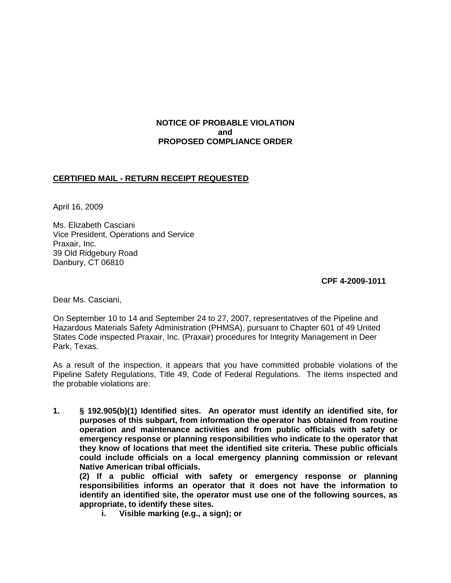# **NOTICE OF PROBABLE VIOLATION and PROPOSED COMPLIANCE ORDER**

## **CERTIFIED MAIL - RETURN RECEIPT REQUESTED**

April 16, 2009

Ms. Elizabeth Casciani Vice President, Operations and Service Praxair, Inc. 39 Old Ridgebury Road Danbury, CT 06810

**CPF 4-2009-1011**

Dear Ms. Casciani,

On September 10 to 14 and September 24 to 27, 2007, representatives of the Pipeline and Hazardous Materials Safety Administration (PHMSA), pursuant to Chapter 601 of 49 United States Code inspected Praxair, Inc. (Praxair) procedures for Integrity Management in Deer Park, Texas.

As a result of the inspection, it appears that you have committed probable violations of the Pipeline Safety Regulations, Title 49, Code of Federal Regulations. The items inspected and the probable violations are:

**1. § 192.905(b)(1) Identified sites. An operator must identify an identified site, for purposes of this subpart, from information the operator has obtained from routine operation and maintenance activities and from public officials with safety or emergency response or planning responsibilities who indicate to the operator that they know of locations that meet the identified site criteria. These public officials could include officials on a local emergency planning commission or relevant Native American tribal officials.** 

**(2) If a public official with safety or emergency response or planning responsibilities informs an operator that it does not have the information to identify an identified site, the operator must use one of the following sources, as appropriate, to identify these sites.** 

**i. Visible marking (e.g., a sign); or**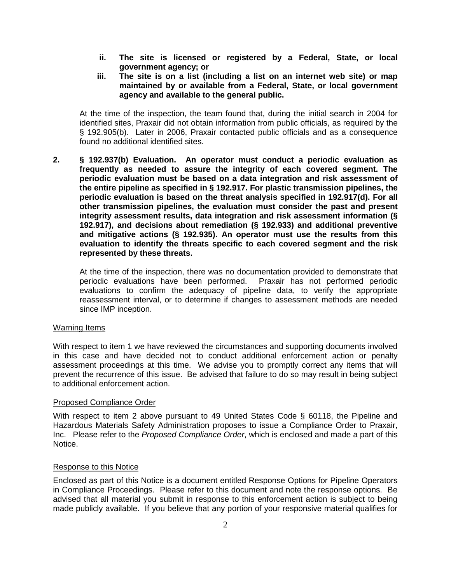- **ii. The site is licensed or registered by a Federal, State, or local government agency; or**
- **iii. The site is on a list (including a list on an internet web site) or map maintained by or available from a Federal, State, or local government agency and available to the general public.**

At the time of the inspection, the team found that, during the initial search in 2004 for identified sites, Praxair did not obtain information from public officials, as required by the § 192.905(b). Later in 2006, Praxair contacted public officials and as a consequence found no additional identified sites.

**2. § 192.937(b) Evaluation. An operator must conduct a periodic evaluation as frequently as needed to assure the integrity of each covered segment. The periodic evaluation must be based on a data integration and risk assessment of the entire pipeline as specified in § 192.917. For plastic transmission pipelines, the periodic evaluation is based on the threat analysis specified in 192.917(d). For all other transmission pipelines, the evaluation must consider the past and present integrity assessment results, data integration and risk assessment information (§ 192.917), and decisions about remediation (§ 192.933) and additional preventive and mitigative actions (§ 192.935). An operator must use the results from this evaluation to identify the threats specific to each covered segment and the risk represented by these threats.**

At the time of the inspection, there was no documentation provided to demonstrate that periodic evaluations have been performed. Praxair has not performed periodic evaluations to confirm the adequacy of pipeline data, to verify the appropriate reassessment interval, or to determine if changes to assessment methods are needed since IMP inception.

### Warning Items

With respect to item 1 we have reviewed the circumstances and supporting documents involved in this case and have decided not to conduct additional enforcement action or penalty assessment proceedings at this time. We advise you to promptly correct any items that will prevent the recurrence of this issue. Be advised that failure to do so may result in being subject to additional enforcement action.

### Proposed Compliance Order

With respect to item 2 above pursuant to 49 United States Code § 60118, the Pipeline and Hazardous Materials Safety Administration proposes to issue a Compliance Order to Praxair, Inc. Please refer to the *Proposed Compliance Order*, which is enclosed and made a part of this Notice.

### Response to this Notice

Enclosed as part of this Notice is a document entitled Response Options for Pipeline Operators in Compliance Proceedings. Please refer to this document and note the response options. Be advised that all material you submit in response to this enforcement action is subject to being made publicly available. If you believe that any portion of your responsive material qualifies for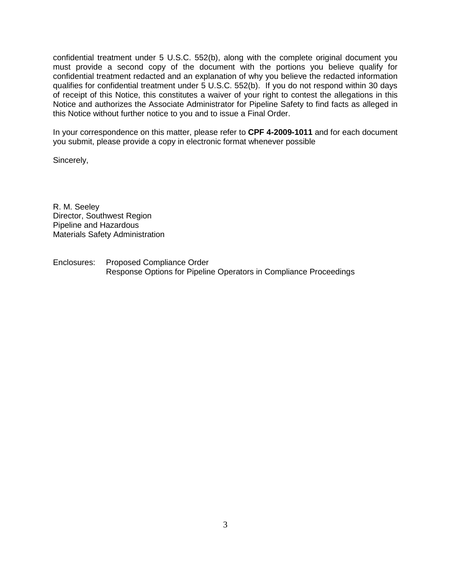confidential treatment under 5 U.S.C. 552(b), along with the complete original document you must provide a second copy of the document with the portions you believe qualify for confidential treatment redacted and an explanation of why you believe the redacted information qualifies for confidential treatment under 5 U.S.C. 552(b). If you do not respond within 30 days of receipt of this Notice, this constitutes a waiver of your right to contest the allegations in this Notice and authorizes the Associate Administrator for Pipeline Safety to find facts as alleged in this Notice without further notice to you and to issue a Final Order.

In your correspondence on this matter, please refer to **CPF 4-2009-1011** and for each document you submit, please provide a copy in electronic format whenever possible

Sincerely,

R. M. Seeley Director, Southwest Region Pipeline and Hazardous Materials Safety Administration

Enclosures: Proposed Compliance Order Response Options for Pipeline Operators in Compliance Proceedings